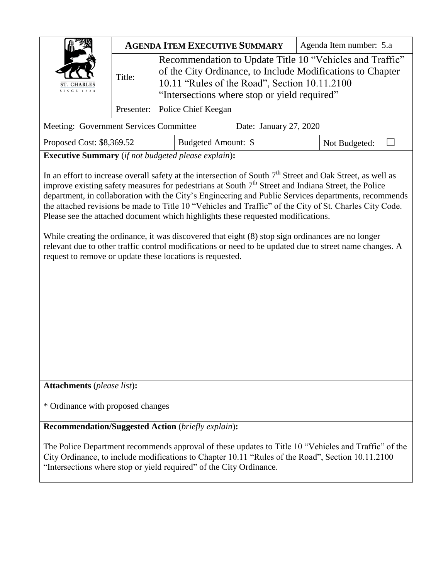| <b>INCE 1834</b>                       | <b>AGENDA ITEM EXECUTIVE SUMMARY</b> |                                                                                                                                                                                                                                                                                                                                                                                                                                                                                                                   |  | Agenda Item number: 5.a |  |
|----------------------------------------|--------------------------------------|-------------------------------------------------------------------------------------------------------------------------------------------------------------------------------------------------------------------------------------------------------------------------------------------------------------------------------------------------------------------------------------------------------------------------------------------------------------------------------------------------------------------|--|-------------------------|--|
|                                        | Title:                               | Recommendation to Update Title 10 "Vehicles and Traffic"<br>of the City Ordinance, to Include Modifications to Chapter<br>10.11 "Rules of the Road", Section 10.11.2100<br>"Intersections where stop or yield required"                                                                                                                                                                                                                                                                                           |  |                         |  |
|                                        | Presenter:                           | Police Chief Keegan                                                                                                                                                                                                                                                                                                                                                                                                                                                                                               |  |                         |  |
| Meeting: Government Services Committee |                                      | Date: January 27, 2020                                                                                                                                                                                                                                                                                                                                                                                                                                                                                            |  |                         |  |
| Proposed Cost: \$8,369.52              |                                      | Budgeted Amount: \$                                                                                                                                                                                                                                                                                                                                                                                                                                                                                               |  | Not Budgeted:           |  |
|                                        |                                      | <b>Executive Summary</b> (if not budgeted please explain):                                                                                                                                                                                                                                                                                                                                                                                                                                                        |  |                         |  |
|                                        |                                      | improve existing safety measures for pedestrians at South $7th$ Street and Indiana Street, the Police<br>department, in collaboration with the City's Engineering and Public Services departments, recommends<br>the attached revisions be made to Title 10 "Vehicles and Traffic" of the City of St. Charles City Code.<br>Please see the attached document which highlights these requested modifications.<br>While creating the ordinance, it was discovered that eight (8) stop sign ordinances are no longer |  |                         |  |
|                                        |                                      | relevant due to other traffic control modifications or need to be updated due to street name changes. A<br>request to remove or update these locations is requested.                                                                                                                                                                                                                                                                                                                                              |  |                         |  |
| <b>Attachments</b> (please list):      |                                      |                                                                                                                                                                                                                                                                                                                                                                                                                                                                                                                   |  |                         |  |
| * Ordinance with proposed changes      |                                      |                                                                                                                                                                                                                                                                                                                                                                                                                                                                                                                   |  |                         |  |
|                                        |                                      | <b>Recommendation/Suggested Action</b> (briefly explain):                                                                                                                                                                                                                                                                                                                                                                                                                                                         |  |                         |  |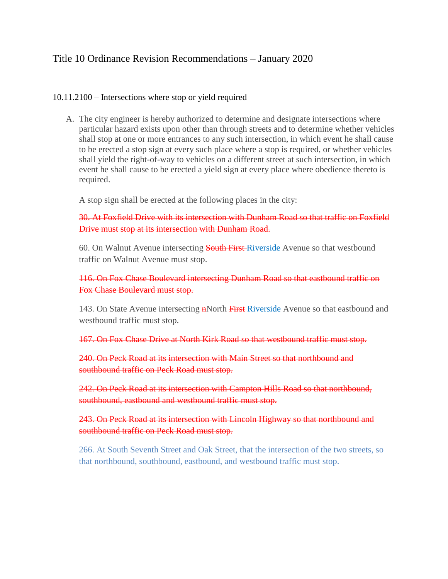## Title 10 Ordinance Revision Recommendations – January 2020

## 10.11.2100 – [Intersections where stop or yield required](https://codebook.stcharlesil.gov/1011-%E2%80%93-rules-road/10112100)

A. The city engineer is hereby authorized to determine and designate intersections where particular hazard exists upon other than through streets and to determine whether vehicles shall stop at one or more entrances to any such intersection, in which event he shall cause to be erected a stop sign at every such place where a stop is required, or whether vehicles shall yield the right-of-way to vehicles on a different street at such intersection, in which event he shall cause to be erected a yield sign at every place where obedience thereto is required.

A stop sign shall be erected at the following places in the city:

30. At Foxfield Drive with its intersection with Dunham Road so that traffic on Foxfield Drive must stop at its intersection with Dunham Road.

60. On Walnut Avenue intersecting South First-Riverside Avenue so that westbound traffic on Walnut Avenue must stop.

116. On Fox Chase Boulevard intersecting Dunham Road so that eastbound traffic on Fox Chase Boulevard must stop.

143. On State Avenue intersecting **nNorth First Riverside Avenue so that eastbound and** westbound traffic must stop.

167. On Fox Chase Drive at North Kirk Road so that westbound traffic must stop.

240. On Peck Road at its intersection with Main Street so that northbound and southbound traffic on Peck Road must stop.

242. On Peck Road at its intersection with Campton Hills Road so that northbound, southbound, eastbound and westbound traffic must stop.

243. On Peck Road at its intersection with Lincoln Highway so that northbound and southbound traffic on Peck Road must stop.

266. At South Seventh Street and Oak Street, that the intersection of the two streets, so that northbound, southbound, eastbound, and westbound traffic must stop.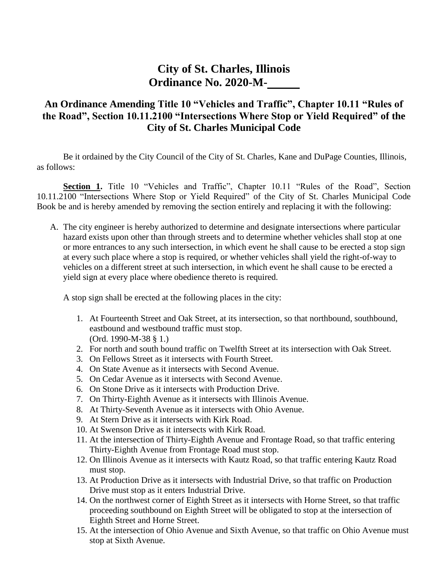## **City of St. Charles, Illinois Ordinance No. 2020-M-**

## **An Ordinance Amending Title 10 "Vehicles and Traffic", Chapter 10.11 "Rules of the Road", Section 10.11.2100 "Intersections Where Stop or Yield Required" of the City of St. Charles Municipal Code**

Be it ordained by the City Council of the City of St. Charles, Kane and DuPage Counties, Illinois, as follows:

**Section 1.** Title 10 "Vehicles and Traffic", Chapter 10.11 "Rules of the Road", Section 10.11.2100 "Intersections Where Stop or Yield Required" of the City of St. Charles Municipal Code Book be and is hereby amended by removing the section entirely and replacing it with the following:

A. The city engineer is hereby authorized to determine and designate intersections where particular hazard exists upon other than through streets and to determine whether vehicles shall stop at one or more entrances to any such intersection, in which event he shall cause to be erected a stop sign at every such place where a stop is required, or whether vehicles shall yield the right-of-way to vehicles on a different street at such intersection, in which event he shall cause to be erected a yield sign at every place where obedience thereto is required.

A stop sign shall be erected at the following places in the city:

- 1. At Fourteenth Street and Oak Street, at its intersection, so that northbound, southbound, eastbound and westbound traffic must stop. (Ord. 1990-M-38 § 1.)
- 2. For north and south bound traffic on Twelfth Street at its intersection with Oak Street.
- 3. On Fellows Street as it intersects with Fourth Street.
- 4. On State Avenue as it intersects with Second Avenue.
- 5. On Cedar Avenue as it intersects with Second Avenue.
- 6. On Stone Drive as it intersects with Production Drive.
- 7. On Thirty-Eighth Avenue as it intersects with Illinois Avenue.
- 8. At Thirty-Seventh Avenue as it intersects with Ohio Avenue.
- 9. At Stern Drive as it intersects with Kirk Road.
- 10. At Swenson Drive as it intersects with Kirk Road.
- 11. At the intersection of Thirty-Eighth Avenue and Frontage Road, so that traffic entering Thirty-Eighth Avenue from Frontage Road must stop.
- 12. On Illinois Avenue as it intersects with Kautz Road, so that traffic entering Kautz Road must stop.
- 13. At Production Drive as it intersects with Industrial Drive, so that traffic on Production Drive must stop as it enters Industrial Drive.
- 14. On the northwest corner of Eighth Street as it intersects with Horne Street, so that traffic proceeding southbound on Eighth Street will be obligated to stop at the intersection of Eighth Street and Horne Street.
- 15. At the intersection of Ohio Avenue and Sixth Avenue, so that traffic on Ohio Avenue must stop at Sixth Avenue.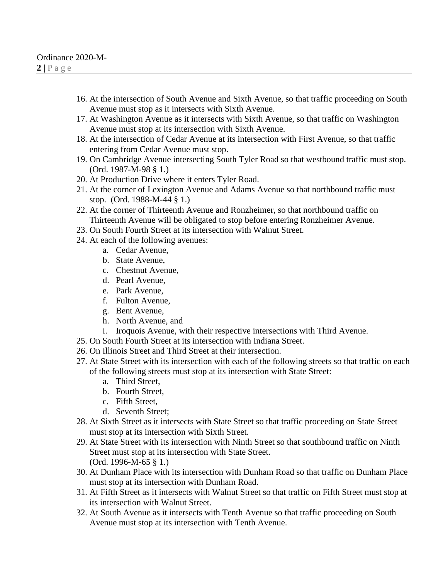- 16. At the intersection of South Avenue and Sixth Avenue, so that traffic proceeding on South Avenue must stop as it intersects with Sixth Avenue.
- 17. At Washington Avenue as it intersects with Sixth Avenue, so that traffic on Washington Avenue must stop at its intersection with Sixth Avenue.
- 18. At the intersection of Cedar Avenue at its intersection with First Avenue, so that traffic entering from Cedar Avenue must stop.
- 19. On Cambridge Avenue intersecting South Tyler Road so that westbound traffic must stop. (Ord. 1987-M-98 § 1.)
- 20. At Production Drive where it enters Tyler Road.
- 21. At the corner of Lexington Avenue and Adams Avenue so that northbound traffic must stop. (Ord. 1988-M-44 § 1.)
- 22. At the corner of Thirteenth Avenue and Ronzheimer, so that northbound traffic on Thirteenth Avenue will be obligated to stop before entering Ronzheimer Avenue.
- 23. On South Fourth Street at its intersection with Walnut Street.
- 24. At each of the following avenues:
	- a. Cedar Avenue,
	- b. State Avenue,
	- c. Chestnut Avenue,
	- d. Pearl Avenue,
	- e. Park Avenue,
	- f. Fulton Avenue,
	- g. Bent Avenue,
	- h. North Avenue, and
	- i. Iroquois Avenue, with their respective intersections with Third Avenue.
- 25. On South Fourth Street at its intersection with Indiana Street.
- 26. On Illinois Street and Third Street at their intersection.
- 27. At State Street with its intersection with each of the following streets so that traffic on each of the following streets must stop at its intersection with State Street:
	- a. Third Street,
	- b. Fourth Street,
	- c. Fifth Street,
	- d. Seventh Street;
- 28. At Sixth Street as it intersects with State Street so that traffic proceeding on State Street must stop at its intersection with Sixth Street.
- 29. At State Street with its intersection with Ninth Street so that southbound traffic on Ninth Street must stop at its intersection with State Street. (Ord. 1996-M-65 § 1.)
- 30. At Dunham Place with its intersection with Dunham Road so that traffic on Dunham Place must stop at its intersection with Dunham Road.
- 31. At Fifth Street as it intersects with Walnut Street so that traffic on Fifth Street must stop at its intersection with Walnut Street.
- 32. At South Avenue as it intersects with Tenth Avenue so that traffic proceeding on South Avenue must stop at its intersection with Tenth Avenue.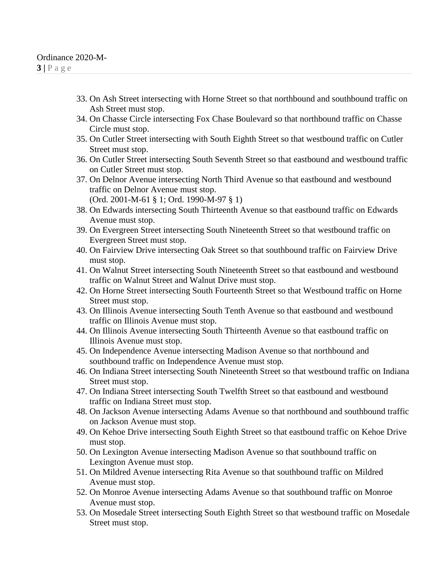- 33. On Ash Street intersecting with Horne Street so that northbound and southbound traffic on Ash Street must stop.
- 34. On Chasse Circle intersecting Fox Chase Boulevard so that northbound traffic on Chasse Circle must stop.
- 35. On Cutler Street intersecting with South Eighth Street so that westbound traffic on Cutler Street must stop.
- 36. On Cutler Street intersecting South Seventh Street so that eastbound and westbound traffic on Cutler Street must stop.
- 37. On Delnor Avenue intersecting North Third Avenue so that eastbound and westbound traffic on Delnor Avenue must stop. (Ord. 2001-M-61 § 1; Ord. 1990-M-97 § 1)
- 38. On Edwards intersecting South Thirteenth Avenue so that eastbound traffic on Edwards Avenue must stop.
- 39. On Evergreen Street intersecting South Nineteenth Street so that westbound traffic on Evergreen Street must stop.
- 40. On Fairview Drive intersecting Oak Street so that southbound traffic on Fairview Drive must stop.
- 41. On Walnut Street intersecting South Nineteenth Street so that eastbound and westbound traffic on Walnut Street and Walnut Drive must stop.
- 42. On Horne Street intersecting South Fourteenth Street so that Westbound traffic on Horne Street must stop.
- 43. On Illinois Avenue intersecting South Tenth Avenue so that eastbound and westbound traffic on Illinois Avenue must stop.
- 44. On Illinois Avenue intersecting South Thirteenth Avenue so that eastbound traffic on Illinois Avenue must stop.
- 45. On Independence Avenue intersecting Madison Avenue so that northbound and southbound traffic on Independence Avenue must stop.
- 46. On Indiana Street intersecting South Nineteenth Street so that westbound traffic on Indiana Street must stop.
- 47. On Indiana Street intersecting South Twelfth Street so that eastbound and westbound traffic on Indiana Street must stop.
- 48. On Jackson Avenue intersecting Adams Avenue so that northbound and southbound traffic on Jackson Avenue must stop.
- 49. On Kehoe Drive intersecting South Eighth Street so that eastbound traffic on Kehoe Drive must stop.
- 50. On Lexington Avenue intersecting Madison Avenue so that southbound traffic on Lexington Avenue must stop.
- 51. On Mildred Avenue intersecting Rita Avenue so that southbound traffic on Mildred Avenue must stop.
- 52. On Monroe Avenue intersecting Adams Avenue so that southbound traffic on Monroe Avenue must stop.
- 53. On Mosedale Street intersecting South Eighth Street so that westbound traffic on Mosedale Street must stop.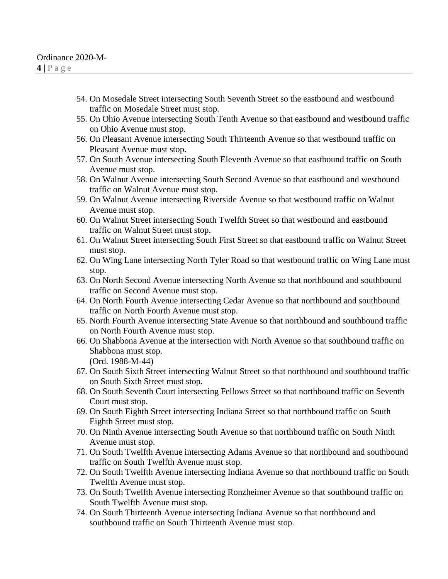- 54. On Mosedale Street intersecting South Seventh Street so the eastbound and westbound traffic on Mosedale Street must stop.
- 55. On Ohio Avenue intersecting South Tenth Avenue so that eastbound and westbound traffic on Ohio Avenue must stop.
- 56. On Pleasant Avenue intersecting South Thirteenth Avenue so that westbound traffic on Pleasant Avenue must stop.
- 57. On South Avenue intersecting South Eleventh Avenue so that eastbound traffic on South Avenue must stop.
- 58. On Walnut Avenue intersecting South Second Avenue so that eastbound and westbound traffic on Walnut Avenue must stop.
- 59. On Walnut Avenue intersecting Riverside Avenue so that westbound traffic on Walnut Avenue must stop.
- 60. On Walnut Street intersecting South Twelfth Street so that westbound and eastbound traffic on Walnut Street must stop.
- 61. On Walnut Street intersecting South First Street so that eastbound traffic on Walnut Street must stop.
- 62. On Wing Lane intersecting North Tyler Road so that westbound traffic on Wing Lane must stop.
- 63. On North Second Avenue intersecting North Avenue so that northbound and southbound traffic on Second Avenue must stop.
- 64. On North Fourth Avenue intersecting Cedar Avenue so that northbound and southbound traffic on North Fourth Avenue must stop.
- 65. North Fourth Avenue intersecting State Avenue so that northbound and southbound traffic on North Fourth Avenue must stop.
- 66. On Shabbona Avenue at the intersection with North Avenue so that southbound traffic on Shabbona must stop. (Ord. 1988-M-44)
- 67. On South Sixth Street intersecting Walnut Street so that northbound and southbound traffic on South Sixth Street must stop.
- 68. On South Seventh Court intersecting Fellows Street so that northbound traffic on Seventh Court must stop.
- 69. On South Eighth Street intersecting Indiana Street so that northbound traffic on South Eighth Street must stop.
- 70. On Ninth Avenue intersecting South Avenue so that northbound traffic on South Ninth Avenue must stop.
- 71. On South Twelfth Avenue intersecting Adams Avenue so that northbound and southbound traffic on South Twelfth Avenue must stop.
- 72. On South Twelfth Avenue intersecting Indiana Avenue so that northbound traffic on South Twelfth Avenue must stop.
- 73. On South Twelfth Avenue intersecting Ronzheimer Avenue so that southbound traffic on South Twelfth Avenue must stop.
- 74. On South Thirteenth Avenue intersecting Indiana Avenue so that northbound and southbound traffic on South Thirteenth Avenue must stop.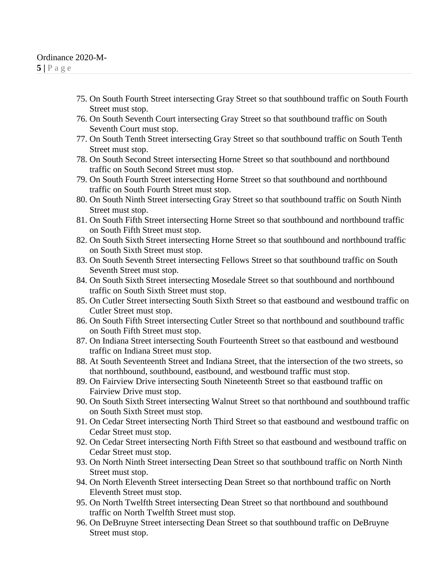- 75. On South Fourth Street intersecting Gray Street so that southbound traffic on South Fourth Street must stop.
- 76. On South Seventh Court intersecting Gray Street so that southbound traffic on South Seventh Court must stop.
- 77. On South Tenth Street intersecting Gray Street so that southbound traffic on South Tenth Street must stop.
- 78. On South Second Street intersecting Horne Street so that southbound and northbound traffic on South Second Street must stop.
- 79. On South Fourth Street intersecting Horne Street so that southbound and northbound traffic on South Fourth Street must stop.
- 80. On South Ninth Street intersecting Gray Street so that southbound traffic on South Ninth Street must stop.
- 81. On South Fifth Street intersecting Horne Street so that southbound and northbound traffic on South Fifth Street must stop.
- 82. On South Sixth Street intersecting Horne Street so that southbound and northbound traffic on South Sixth Street must stop.
- 83. On South Seventh Street intersecting Fellows Street so that southbound traffic on South Seventh Street must stop.
- 84. On South Sixth Street intersecting Mosedale Street so that southbound and northbound traffic on South Sixth Street must stop.
- 85. On Cutler Street intersecting South Sixth Street so that eastbound and westbound traffic on Cutler Street must stop.
- 86. On South Fifth Street intersecting Cutler Street so that northbound and southbound traffic on South Fifth Street must stop.
- 87. On Indiana Street intersecting South Fourteenth Street so that eastbound and westbound traffic on Indiana Street must stop.
- 88. At South Seventeenth Street and Indiana Street, that the intersection of the two streets, so that northbound, southbound, eastbound, and westbound traffic must stop.
- 89. On Fairview Drive intersecting South Nineteenth Street so that eastbound traffic on Fairview Drive must stop.
- 90. On South Sixth Street intersecting Walnut Street so that northbound and southbound traffic on South Sixth Street must stop.
- 91. On Cedar Street intersecting North Third Street so that eastbound and westbound traffic on Cedar Street must stop.
- 92. On Cedar Street intersecting North Fifth Street so that eastbound and westbound traffic on Cedar Street must stop.
- 93. On North Ninth Street intersecting Dean Street so that southbound traffic on North Ninth Street must stop.
- 94. On North Eleventh Street intersecting Dean Street so that northbound traffic on North Eleventh Street must stop.
- 95. On North Twelfth Street intersecting Dean Street so that northbound and southbound traffic on North Twelfth Street must stop.
- 96. On DeBruyne Street intersecting Dean Street so that southbound traffic on DeBruyne Street must stop.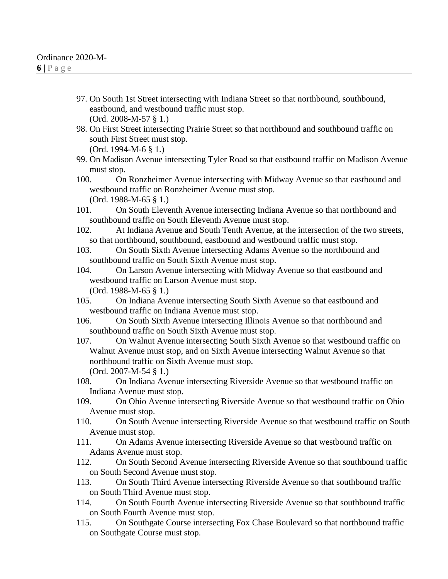- 97. On South 1st Street intersecting with Indiana Street so that northbound, southbound, eastbound, and westbound traffic must stop. (Ord. 2008-M-57 § 1.)
- 98. On First Street intersecting Prairie Street so that northbound and southbound traffic on south First Street must stop. (Ord. 1994-M-6 § 1.)
- 99. On Madison Avenue intersecting Tyler Road so that eastbound traffic on Madison Avenue must stop.

100. On Ronzheimer Avenue intersecting with Midway Avenue so that eastbound and westbound traffic on Ronzheimer Avenue must stop. (Ord. 1988-M-65 § 1.)

- 101. On South Eleventh Avenue intersecting Indiana Avenue so that northbound and southbound traffic on South Eleventh Avenue must stop.
- 102. At Indiana Avenue and South Tenth Avenue, at the intersection of the two streets, so that northbound, southbound, eastbound and westbound traffic must stop.
- 103. On South Sixth Avenue intersecting Adams Avenue so the northbound and southbound traffic on South Sixth Avenue must stop.
- 104. On Larson Avenue intersecting with Midway Avenue so that eastbound and westbound traffic on Larson Avenue must stop. (Ord. 1988-M-65 § 1.)
- 105. On Indiana Avenue intersecting South Sixth Avenue so that eastbound and westbound traffic on Indiana Avenue must stop.
- 106. On South Sixth Avenue intersecting Illinois Avenue so that northbound and southbound traffic on South Sixth Avenue must stop.
- 107. On Walnut Avenue intersecting South Sixth Avenue so that westbound traffic on Walnut Avenue must stop, and on Sixth Avenue intersecting Walnut Avenue so that northbound traffic on Sixth Avenue must stop. (Ord. 2007-M-54 § 1.)
- 108. On Indiana Avenue intersecting Riverside Avenue so that westbound traffic on Indiana Avenue must stop.
- 109. On Ohio Avenue intersecting Riverside Avenue so that westbound traffic on Ohio Avenue must stop.
- 110. On South Avenue intersecting Riverside Avenue so that westbound traffic on South Avenue must stop.
- 111. On Adams Avenue intersecting Riverside Avenue so that westbound traffic on Adams Avenue must stop.
- 112. On South Second Avenue intersecting Riverside Avenue so that southbound traffic on South Second Avenue must stop.
- 113. On South Third Avenue intersecting Riverside Avenue so that southbound traffic on South Third Avenue must stop.
- 114. On South Fourth Avenue intersecting Riverside Avenue so that southbound traffic on South Fourth Avenue must stop.
- 115. On Southgate Course intersecting Fox Chase Boulevard so that northbound traffic on Southgate Course must stop.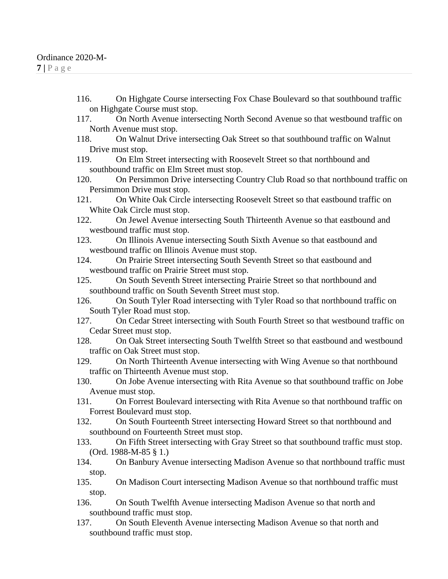- 116. On Highgate Course intersecting Fox Chase Boulevard so that southbound traffic on Highgate Course must stop.
- 117. On North Avenue intersecting North Second Avenue so that westbound traffic on North Avenue must stop.
- 118. On Walnut Drive intersecting Oak Street so that southbound traffic on Walnut Drive must stop.
- 119. On Elm Street intersecting with Roosevelt Street so that northbound and southbound traffic on Elm Street must stop.
- 120. On Persimmon Drive intersecting Country Club Road so that northbound traffic on Persimmon Drive must stop.
- 121. On White Oak Circle intersecting Roosevelt Street so that eastbound traffic on White Oak Circle must stop.
- 122. On Jewel Avenue intersecting South Thirteenth Avenue so that eastbound and westbound traffic must stop.
- 123. On Illinois Avenue intersecting South Sixth Avenue so that eastbound and westbound traffic on Illinois Avenue must stop.
- 124. On Prairie Street intersecting South Seventh Street so that eastbound and westbound traffic on Prairie Street must stop.
- 125. On South Seventh Street intersecting Prairie Street so that northbound and southbound traffic on South Seventh Street must stop.
- 126. On South Tyler Road intersecting with Tyler Road so that northbound traffic on South Tyler Road must stop.
- 127. On Cedar Street intersecting with South Fourth Street so that westbound traffic on Cedar Street must stop.
- 128. On Oak Street intersecting South Twelfth Street so that eastbound and westbound traffic on Oak Street must stop.
- 129. On North Thirteenth Avenue intersecting with Wing Avenue so that northbound traffic on Thirteenth Avenue must stop.
- 130. On Jobe Avenue intersecting with Rita Avenue so that southbound traffic on Jobe Avenue must stop.
- 131. On Forrest Boulevard intersecting with Rita Avenue so that northbound traffic on Forrest Boulevard must stop.
- 132. On South Fourteenth Street intersecting Howard Street so that northbound and southbound on Fourteenth Street must stop.
- 133. On Fifth Street intersecting with Gray Street so that southbound traffic must stop. (Ord. 1988-M-85 § 1.)
- 134. On Banbury Avenue intersecting Madison Avenue so that northbound traffic must stop.
- 135. On Madison Court intersecting Madison Avenue so that northbound traffic must stop.
- 136. On South Twelfth Avenue intersecting Madison Avenue so that north and southbound traffic must stop.
- 137. On South Eleventh Avenue intersecting Madison Avenue so that north and southbound traffic must stop.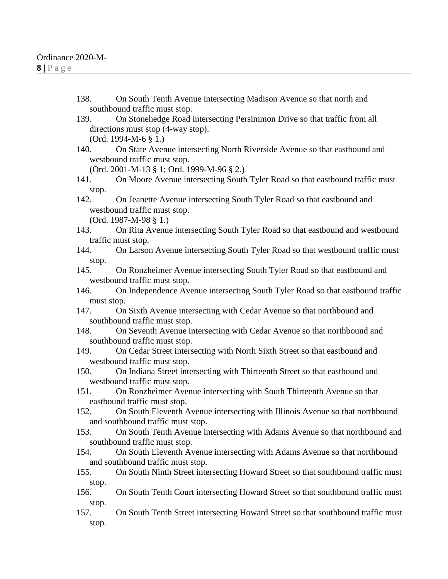- 138. On South Tenth Avenue intersecting Madison Avenue so that north and southbound traffic must stop.
- 139. On Stonehedge Road intersecting Persimmon Drive so that traffic from all directions must stop (4-way stop). (Ord. 1994-M-6 § 1.)
- 140. On State Avenue intersecting North Riverside Avenue so that eastbound and westbound traffic must stop.

(Ord. 2001-M-13 § 1; Ord. 1999-M-96 § 2.)

- 141. On Moore Avenue intersecting South Tyler Road so that eastbound traffic must stop.
- 142. On Jeanette Avenue intersecting South Tyler Road so that eastbound and westbound traffic must stop. (Ord. 1987-M-98 § 1.)
- 143. On Rita Avenue intersecting South Tyler Road so that eastbound and westbound traffic must stop.
- 144. On Larson Avenue intersecting South Tyler Road so that westbound traffic must stop.
- 145. On Ronzheimer Avenue intersecting South Tyler Road so that eastbound and westbound traffic must stop.
- 146. On Independence Avenue intersecting South Tyler Road so that eastbound traffic must stop.
- 147. On Sixth Avenue intersecting with Cedar Avenue so that northbound and southbound traffic must stop.
- 148. On Seventh Avenue intersecting with Cedar Avenue so that northbound and southbound traffic must stop.
- 149. On Cedar Street intersecting with North Sixth Street so that eastbound and westbound traffic must stop.
- 150. On Indiana Street intersecting with Thirteenth Street so that eastbound and westbound traffic must stop.
- 151. On Ronzheimer Avenue intersecting with South Thirteenth Avenue so that eastbound traffic must stop.
- 152. On South Eleventh Avenue intersecting with Illinois Avenue so that northbound and southbound traffic must stop.
- 153. On South Tenth Avenue intersecting with Adams Avenue so that northbound and southbound traffic must stop.
- 154. On South Eleventh Avenue intersecting with Adams Avenue so that northbound and southbound traffic must stop.
- 155. On South Ninth Street intersecting Howard Street so that southbound traffic must stop.
- 156. On South Tenth Court intersecting Howard Street so that southbound traffic must stop.
- 157. On South Tenth Street intersecting Howard Street so that southbound traffic must stop.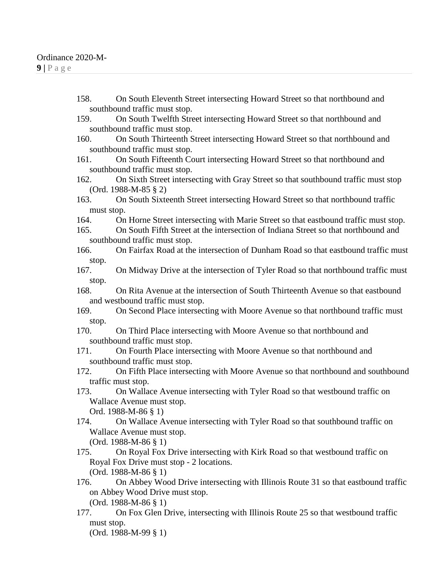- 158. On South Eleventh Street intersecting Howard Street so that northbound and southbound traffic must stop.
- 159. On South Twelfth Street intersecting Howard Street so that northbound and southbound traffic must stop.
- 160. On South Thirteenth Street intersecting Howard Street so that northbound and southbound traffic must stop.
- 161. On South Fifteenth Court intersecting Howard Street so that northbound and southbound traffic must stop.
- 162. On Sixth Street intersecting with Gray Street so that southbound traffic must stop (Ord. 1988-M-85 § 2)
- 163. On South Sixteenth Street intersecting Howard Street so that northbound traffic must stop.
- 164. On Horne Street intersecting with Marie Street so that eastbound traffic must stop.
- 165. On South Fifth Street at the intersection of Indiana Street so that northbound and southbound traffic must stop.
- 166. On Fairfax Road at the intersection of Dunham Road so that eastbound traffic must stop.
- 167. On Midway Drive at the intersection of Tyler Road so that northbound traffic must stop.
- 168. On Rita Avenue at the intersection of South Thirteenth Avenue so that eastbound and westbound traffic must stop.
- 169. On Second Place intersecting with Moore Avenue so that northbound traffic must stop.
- 170. On Third Place intersecting with Moore Avenue so that northbound and southbound traffic must stop.
- 171. On Fourth Place intersecting with Moore Avenue so that northbound and southbound traffic must stop.
- 172. On Fifth Place intersecting with Moore Avenue so that northbound and southbound traffic must stop.
- 173. On Wallace Avenue intersecting with Tyler Road so that westbound traffic on Wallace Avenue must stop. Ord. 1988-M-86 § 1)
- 174. On Wallace Avenue intersecting with Tyler Road so that southbound traffic on Wallace Avenue must stop. (Ord. 1988-M-86 § 1)
- 175. On Royal Fox Drive intersecting with Kirk Road so that westbound traffic on Royal Fox Drive must stop - 2 locations. (Ord. 1988-M-86 § 1)
- 176. On Abbey Wood Drive intersecting with Illinois Route 31 so that eastbound traffic on Abbey Wood Drive must stop. (Ord. 1988-M-86 § 1)
- 177. On Fox Glen Drive, intersecting with Illinois Route 25 so that westbound traffic must stop.

(Ord. 1988-M-99 § 1)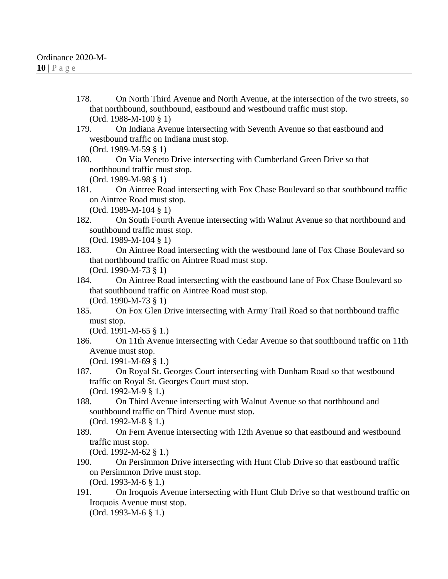178. On North Third Avenue and North Avenue, at the intersection of the two streets, so that northbound, southbound, eastbound and westbound traffic must stop. (Ord. 1988-M-100 § 1)

179. On Indiana Avenue intersecting with Seventh Avenue so that eastbound and westbound traffic on Indiana must stop.

(Ord. 1989-M-59 § 1)

180. On Via Veneto Drive intersecting with Cumberland Green Drive so that northbound traffic must stop. (Ord. 1989-M-98 § 1)

- 181. On Aintree Road intersecting with Fox Chase Boulevard so that southbound traffic on Aintree Road must stop. (Ord. 1989-M-104 § 1)
- 182. On South Fourth Avenue intersecting with Walnut Avenue so that northbound and southbound traffic must stop.

(Ord. 1989-M-104 § 1)

- 183. On Aintree Road intersecting with the westbound lane of Fox Chase Boulevard so that northbound traffic on Aintree Road must stop. (Ord. 1990-M-73 § 1)
- 184. On Aintree Road intersecting with the eastbound lane of Fox Chase Boulevard so that southbound traffic on Aintree Road must stop. (Ord. 1990-M-73 § 1)
- 185. On Fox Glen Drive intersecting with Army Trail Road so that northbound traffic must stop.

(Ord. 1991-M-65 § 1.)

186. On 11th Avenue intersecting with Cedar Avenue so that southbound traffic on 11th Avenue must stop.

(Ord. 1991-M-69 § 1.)

- 187. On Royal St. Georges Court intersecting with Dunham Road so that westbound traffic on Royal St. Georges Court must stop. (Ord. 1992-M-9 § 1.)
- 188. On Third Avenue intersecting with Walnut Avenue so that northbound and southbound traffic on Third Avenue must stop. (Ord. 1992-M-8 § 1.)
- 189. On Fern Avenue intersecting with 12th Avenue so that eastbound and westbound traffic must stop.

(Ord. 1992-M-62 § 1.)

190. On Persimmon Drive intersecting with Hunt Club Drive so that eastbound traffic on Persimmon Drive must stop.

(Ord. 1993-M-6 § 1.)

191. On Iroquois Avenue intersecting with Hunt Club Drive so that westbound traffic on Iroquois Avenue must stop. (Ord. 1993-M-6 § 1.)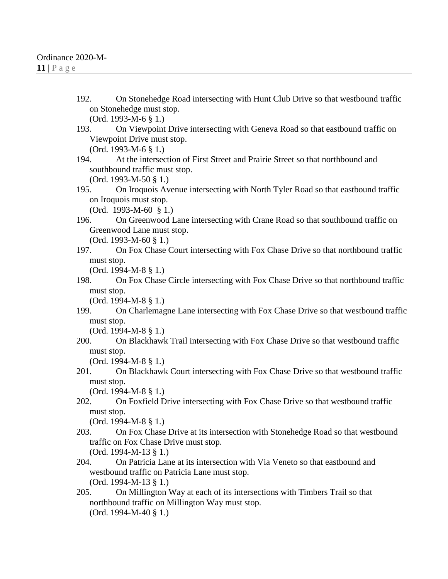192. On Stonehedge Road intersecting with Hunt Club Drive so that westbound traffic on Stonehedge must stop.

(Ord. 1993-M-6 § 1.)

193. On Viewpoint Drive intersecting with Geneva Road so that eastbound traffic on Viewpoint Drive must stop.

(Ord. 1993-M-6 § 1.)

194. At the intersection of First Street and Prairie Street so that northbound and southbound traffic must stop.

(Ord. 1993-M-50 § 1.)

195. On Iroquois Avenue intersecting with North Tyler Road so that eastbound traffic on Iroquois must stop.

(Ord. 1993-M-60 § 1.)

196. On Greenwood Lane intersecting with Crane Road so that southbound traffic on Greenwood Lane must stop.

(Ord. 1993-M-60 § 1.)

197. On Fox Chase Court intersecting with Fox Chase Drive so that northbound traffic must stop.

(Ord. 1994-M-8 § 1.)

198. On Fox Chase Circle intersecting with Fox Chase Drive so that northbound traffic must stop.

(Ord. 1994-M-8 § 1.)

199. On Charlemagne Lane intersecting with Fox Chase Drive so that westbound traffic must stop.

(Ord. 1994-M-8 § 1.)

200. On Blackhawk Trail intersecting with Fox Chase Drive so that westbound traffic must stop.

(Ord. 1994-M-8 § 1.)

201. On Blackhawk Court intersecting with Fox Chase Drive so that westbound traffic must stop.

(Ord. 1994-M-8 § 1.)

202. On Foxfield Drive intersecting with Fox Chase Drive so that westbound traffic must stop.

(Ord. 1994-M-8 § 1.)

- 203. On Fox Chase Drive at its intersection with Stonehedge Road so that westbound traffic on Fox Chase Drive must stop. (Ord. 1994-M-13 § 1.)
- 204. On Patricia Lane at its intersection with Via Veneto so that eastbound and westbound traffic on Patricia Lane must stop. (Ord. 1994-M-13 § 1.)
- 205. On Millington Way at each of its intersections with Timbers Trail so that northbound traffic on Millington Way must stop. (Ord. 1994-M-40 § 1.)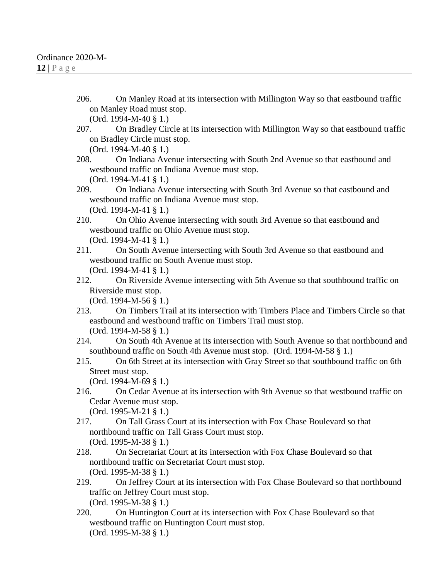206. On Manley Road at its intersection with Millington Way so that eastbound traffic on Manley Road must stop.

(Ord. 1994-M-40 § 1.)

207. On Bradley Circle at its intersection with Millington Way so that eastbound traffic on Bradley Circle must stop.

(Ord. 1994-M-40 § 1.)

208. On Indiana Avenue intersecting with South 2nd Avenue so that eastbound and westbound traffic on Indiana Avenue must stop. (Ord. 1994-M-41 § 1.)

209. On Indiana Avenue intersecting with South 3rd Avenue so that eastbound and westbound traffic on Indiana Avenue must stop.

(Ord. 1994-M-41 § 1.)

- 210. On Ohio Avenue intersecting with south 3rd Avenue so that eastbound and westbound traffic on Ohio Avenue must stop. (Ord. 1994-M-41 § 1.)
- 211. On South Avenue intersecting with South 3rd Avenue so that eastbound and westbound traffic on South Avenue must stop. (Ord. 1994-M-41 § 1.)
- 212. On Riverside Avenue intersecting with 5th Avenue so that southbound traffic on Riverside must stop.

(Ord. 1994-M-56 § 1.)

- 213. On Timbers Trail at its intersection with Timbers Place and Timbers Circle so that eastbound and westbound traffic on Timbers Trail must stop. (Ord. 1994-M-58 § 1.)
- 214. On South 4th Avenue at its intersection with South Avenue so that northbound and southbound traffic on South 4th Avenue must stop. (Ord. 1994-M-58 § 1.)
- 215. On 6th Street at its intersection with Gray Street so that southbound traffic on 6th Street must stop.

(Ord. 1994-M-69 § 1.)

216. On Cedar Avenue at its intersection with 9th Avenue so that westbound traffic on Cedar Avenue must stop.

(Ord. 1995-M-21 § 1.)

- 217. On Tall Grass Court at its intersection with Fox Chase Boulevard so that northbound traffic on Tall Grass Court must stop. (Ord. 1995-M-38 § 1.)
- 218. On Secretariat Court at its intersection with Fox Chase Boulevard so that northbound traffic on Secretariat Court must stop. (Ord. 1995-M-38 § 1.)
- 219. On Jeffrey Court at its intersection with Fox Chase Boulevard so that northbound traffic on Jeffrey Court must stop. (Ord. 1995-M-38 § 1.)
- 220. On Huntington Court at its intersection with Fox Chase Boulevard so that westbound traffic on Huntington Court must stop. (Ord. 1995-M-38 § 1.)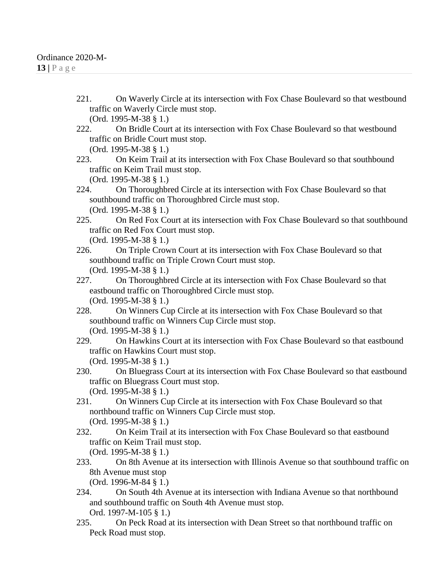221. On Waverly Circle at its intersection with Fox Chase Boulevard so that westbound traffic on Waverly Circle must stop. (Ord. 1995-M-38 § 1.)

222. On Bridle Court at its intersection with Fox Chase Boulevard so that westbound traffic on Bridle Court must stop. (Ord. 1995-M-38 § 1.)

223. On Keim Trail at its intersection with Fox Chase Boulevard so that southbound traffic on Keim Trail must stop.

(Ord. 1995-M-38 § 1.)

224. On Thoroughbred Circle at its intersection with Fox Chase Boulevard so that southbound traffic on Thoroughbred Circle must stop. (Ord. 1995-M-38 § 1.)

- 225. On Red Fox Court at its intersection with Fox Chase Boulevard so that southbound traffic on Red Fox Court must stop. (Ord. 1995-M-38 § 1.)
- 226. On Triple Crown Court at its intersection with Fox Chase Boulevard so that southbound traffic on Triple Crown Court must stop. (Ord. 1995-M-38 § 1.)
- 227. On Thoroughbred Circle at its intersection with Fox Chase Boulevard so that eastbound traffic on Thoroughbred Circle must stop. (Ord. 1995-M-38 § 1.)
- 228. On Winners Cup Circle at its intersection with Fox Chase Boulevard so that southbound traffic on Winners Cup Circle must stop. (Ord. 1995-M-38 § 1.)
- 229. On Hawkins Court at its intersection with Fox Chase Boulevard so that eastbound traffic on Hawkins Court must stop. (Ord. 1995-M-38 § 1.)
- 230. On Bluegrass Court at its intersection with Fox Chase Boulevard so that eastbound traffic on Bluegrass Court must stop. (Ord. 1995-M-38 § 1.)
- 231. On Winners Cup Circle at its intersection with Fox Chase Boulevard so that
- northbound traffic on Winners Cup Circle must stop. (Ord. 1995-M-38 § 1.)
- 232. On Keim Trail at its intersection with Fox Chase Boulevard so that eastbound traffic on Keim Trail must stop. (Ord. 1995-M-38 § 1.)
- 233. On 8th Avenue at its intersection with Illinois Avenue so that southbound traffic on 8th Avenue must stop (Ord. 1996-M-84 § 1.)

234. On South 4th Avenue at its intersection with Indiana Avenue so that northbound and southbound traffic on South 4th Avenue must stop. Ord. 1997-M-105 § 1.)

235. On Peck Road at its intersection with Dean Street so that northbound traffic on Peck Road must stop.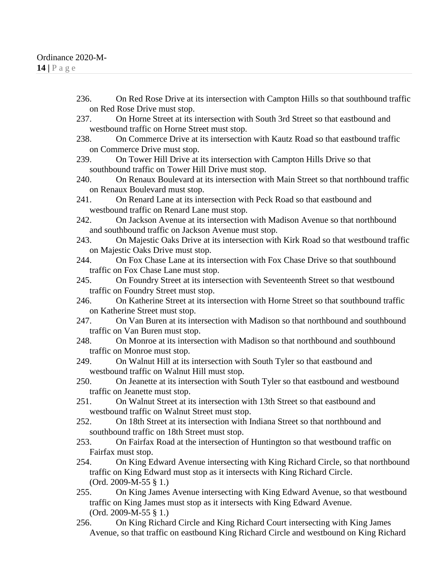- 236. On Red Rose Drive at its intersection with Campton Hills so that southbound traffic on Red Rose Drive must stop.
- 237. On Horne Street at its intersection with South 3rd Street so that eastbound and westbound traffic on Horne Street must stop.
- 238. On Commerce Drive at its intersection with Kautz Road so that eastbound traffic on Commerce Drive must stop.
- 239. On Tower Hill Drive at its intersection with Campton Hills Drive so that southbound traffic on Tower Hill Drive must stop.
- 240. On Renaux Boulevard at its intersection with Main Street so that northbound traffic on Renaux Boulevard must stop.
- 241. On Renard Lane at its intersection with Peck Road so that eastbound and westbound traffic on Renard Lane must stop.
- 242. On Jackson Avenue at its intersection with Madison Avenue so that northbound and southbound traffic on Jackson Avenue must stop.
- 243. On Majestic Oaks Drive at its intersection with Kirk Road so that westbound traffic on Majestic Oaks Drive must stop.
- 244. On Fox Chase Lane at its intersection with Fox Chase Drive so that southbound traffic on Fox Chase Lane must stop.
- 245. On Foundry Street at its intersection with Seventeenth Street so that westbound traffic on Foundry Street must stop.
- 246. On Katherine Street at its intersection with Horne Street so that southbound traffic on Katherine Street must stop.
- 247. On Van Buren at its intersection with Madison so that northbound and southbound traffic on Van Buren must stop.
- 248. On Monroe at its intersection with Madison so that northbound and southbound traffic on Monroe must stop.
- 249. On Walnut Hill at its intersection with South Tyler so that eastbound and westbound traffic on Walnut Hill must stop.
- 250. On Jeanette at its intersection with South Tyler so that eastbound and westbound traffic on Jeanette must stop.
- 251. On Walnut Street at its intersection with 13th Street so that eastbound and westbound traffic on Walnut Street must stop.
- 252. On 18th Street at its intersection with Indiana Street so that northbound and southbound traffic on 18th Street must stop.
- 253. On Fairfax Road at the intersection of Huntington so that westbound traffic on Fairfax must stop.
- 254. On King Edward Avenue intersecting with King Richard Circle, so that northbound traffic on King Edward must stop as it intersects with King Richard Circle. (Ord. 2009-M-55 § 1.)
- 255. On King James Avenue intersecting with King Edward Avenue, so that westbound traffic on King James must stop as it intersects with King Edward Avenue. (Ord. 2009-M-55 § 1.)
- 256. On King Richard Circle and King Richard Court intersecting with King James Avenue, so that traffic on eastbound King Richard Circle and westbound on King Richard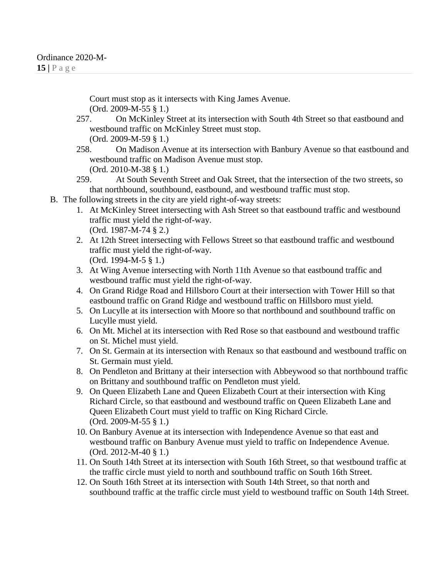Court must stop as it intersects with King James Avenue. (Ord. 2009-M-55 § 1.)

- 257. On McKinley Street at its intersection with South 4th Street so that eastbound and westbound traffic on McKinley Street must stop. (Ord. 2009-M-59 § 1.)
- 258. On Madison Avenue at its intersection with Banbury Avenue so that eastbound and westbound traffic on Madison Avenue must stop. (Ord. 2010-M-38 § 1.)
- 259. At South Seventh Street and Oak Street, that the intersection of the two streets, so that northbound, southbound, eastbound, and westbound traffic must stop.
- B. The following streets in the city are yield right-of-way streets:
	- 1. At McKinley Street intersecting with Ash Street so that eastbound traffic and westbound traffic must yield the right-of-way. (Ord. 1987-M-74 § 2.)
	- 2. At 12th Street intersecting with Fellows Street so that eastbound traffic and westbound traffic must yield the right-of-way. (Ord. 1994-M-5 § 1.)
	- 3. At Wing Avenue intersecting with North 11th Avenue so that eastbound traffic and westbound traffic must yield the right-of-way.
	- 4. On Grand Ridge Road and Hillsboro Court at their intersection with Tower Hill so that eastbound traffic on Grand Ridge and westbound traffic on Hillsboro must yield.
	- 5. On Lucylle at its intersection with Moore so that northbound and southbound traffic on Lucylle must yield.
	- 6. On Mt. Michel at its intersection with Red Rose so that eastbound and westbound traffic on St. Michel must yield.
	- 7. On St. Germain at its intersection with Renaux so that eastbound and westbound traffic on St. Germain must yield.
	- 8. On Pendleton and Brittany at their intersection with Abbeywood so that northbound traffic on Brittany and southbound traffic on Pendleton must yield.
	- 9. On Queen Elizabeth Lane and Queen Elizabeth Court at their intersection with King Richard Circle, so that eastbound and westbound traffic on Queen Elizabeth Lane and Queen Elizabeth Court must yield to traffic on King Richard Circle. (Ord. 2009-M-55 § 1.)
	- 10. On Banbury Avenue at its intersection with Independence Avenue so that east and westbound traffic on Banbury Avenue must yield to traffic on Independence Avenue. (Ord. 2012-M-40 § 1.)
	- 11. On South 14th Street at its intersection with South 16th Street, so that westbound traffic at the traffic circle must yield to north and southbound traffic on South 16th Street.
	- 12. On South 16th Street at its intersection with South 14th Street, so that north and southbound traffic at the traffic circle must yield to westbound traffic on South 14th Street.